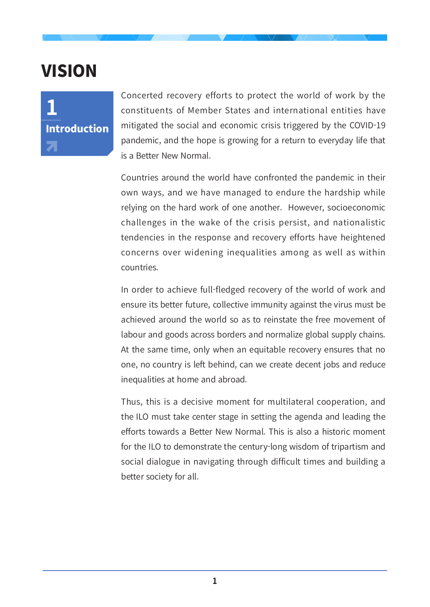## VISION



Concerted recovery efforts to protect the world of work by the constituents of Member States and international entities have mitigated the social and economic crisis triggered by the COVID-19 pandemic, and the hope is growing for a return to everyday life that is a Better New Normal.

Countries around the world have confronted the pandemic in their own ways, and we have managed to endure the hardship while relying on the hard work of one another. However, socioeconomic challenges in the wake of the crisis persist, and nationalistic tendencies in the response and recovery efforts have heightened concerns over widening inequalities among as well as within countries.

In order to achieve full-fledged recovery of the world of work and ensure its better future, collective immunity against the virus must be achieved around the world so as to reinstate the free movement of labour and goods across borders and normalize global supply chains. At the same time, only when an equitable recovery ensures that no one, no country is left behind, can we create decent jobs and reduce inequalities at home and abroad.

Thus, this is a decisive moment for multilateral cooperation, and the ILO must take center stage in setting the agenda and leading the efforts towards a Better New Normal. This is also a historic moment for the ILO to demonstrate the century-long wisdom of tripartism and social dialogue in navigating through difficult times and building a better society for all.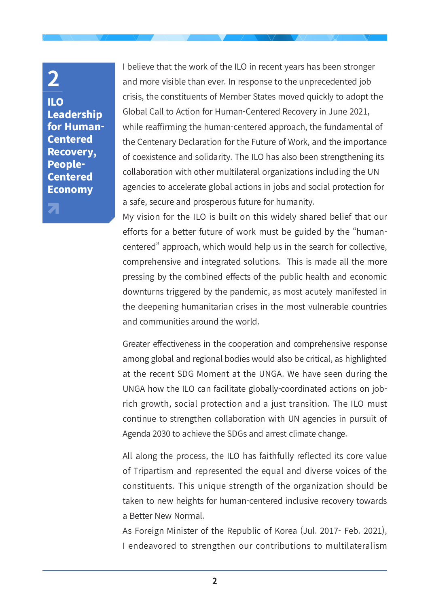## **2**

 $\mathbf{z}_1$ 

ILO Leadership for Human-Centered Recovery, People-Centered Economy

I believe that the work of the ILO in recent years has been stronger and more visible than ever. In response to the unprecedented job crisis, the constituents of Member States moved quickly to adopt the Global Call to Action for Human-Centered Recovery in June 2021, while reaffirming the human-centered approach, the fundamental of the Centenary Declaration for the Future of Work, and the importance of coexistence and solidarity. The ILO has also been strengthening its collaboration with other multilateral organizations including the UN agencies to accelerate global actions in jobs and social protection for a safe, secure and prosperous future for humanity.

My vision for the ILO is built on this widely shared belief that our efforts for a better future of work must be guided by the "humancentered" approach, which would help us in the search for collective, comprehensive and integrated solutions. This is made all the more pressing by the combined effects of the public health and economic downturns triggered by the pandemic, as most acutely manifested in the deepening humanitarian crises in the most vulnerable countries and communities around the world.

Greater effectiveness in the cooperation and comprehensive response among global and regional bodies would also be critical, as highlighted at the recent SDG Moment at the UNGA. We have seen during the UNGA how the ILO can facilitate globally-coordinated actions on jobrich growth, social protection and a just transition. The ILO must continue to strengthen collaboration with UN agencies in pursuit of Agenda 2030 to achieve the SDGs and arrest climate change.

All along the process, the ILO has faithfully reflected its core value of Tripartism and represented the equal and diverse voices of the constituents. This unique strength of the organization should be taken to new heights for human-centered inclusive recovery towards a Better New Normal.

As Foreign Minister of the Republic of Korea (Jul. 2017- Feb. 2021), I endeavored to strengthen our contributions to multilateralism

**2**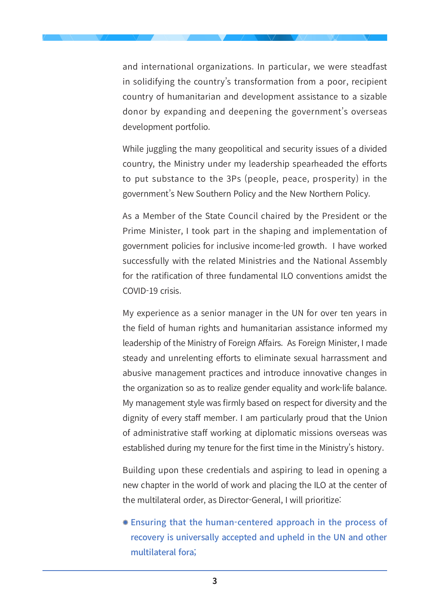and international organizations. In particular, we were steadfast in solidifying the country's transformation from a poor, recipient country of humanitarian and development assistance to a sizable donor by expanding and deepening the government's overseas development portfolio.

While juggling the many geopolitical and security issues of a divided country, the Ministry under my leadership spearheaded the efforts to put substance to the 3Ps (people, peace, prosperity) in the government's New Southern Policy and the New Northern Policy.

As a Member of the State Council chaired by the President or the Prime Minister, I took part in the shaping and implementation of government policies for inclusive income-led growth. I have worked successfully with the related Ministries and the National Assembly for the ratification of three fundamental ILO conventions amidst the COVID-19 crisis.

My experience as a senior manager in the UN for over ten years in the field of human rights and humanitarian assistance informed my leadership of the Ministry of Foreign Affairs. As Foreign Minister, I made steady and unrelenting efforts to eliminate sexual harrassment and abusive management practices and introduce innovative changes in the organization so as to realize gender equality and work-life balance. My management style was firmly based on respect for diversity and the dignity of every staff member. I am particularly proud that the Union of administrative staff working at diplomatic missions overseas was established during my tenure for the first time in the Ministry's history.

Building upon these credentials and aspiring to lead in opening a new chapter in the world of work and placing the ILO at the center of the multilateral order, as Director-General, I will prioritize:

 Ensuring that the human-centered approach in the process of recovery is universally accepted and upheld in the UN and other multilateral fora;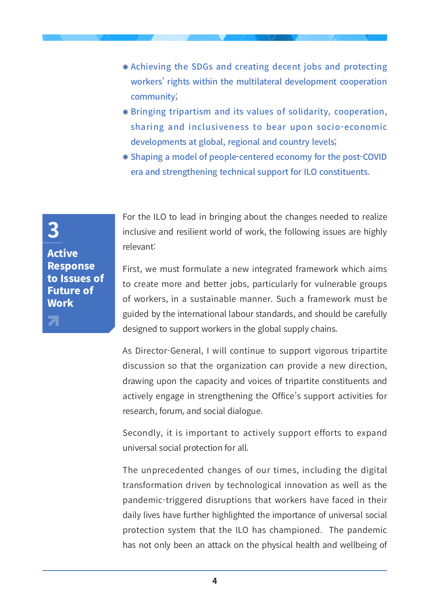- Achieving the SDGs and creating decent jobs and protecting workers' rights within the multilateral development cooperation community;
- **Bringing tripartism and its values of solidarity, cooperation,** sharing and inclusiveness to bear upon socio-economic developments at global, regional and country levels;
- Shaping a model of people-centered economy for the post-COVID era and strengthening technical support for ILO constituents.

For the ILO to lead in bringing about the changes needed to realize inclusive and resilient world of work, the following issues are highly relevant:

First, we must formulate a new integrated framework which aims to create more and better jobs, particularly for vulnerable groups of workers, in a sustainable manner. Such a framework must be guided by the international labour standards, and should be carefully designed to support workers in the global supply chains.

As Director-General, I will continue to support vigorous tripartite discussion so that the organization can provide a new direction, drawing upon the capacity and voices of tripartite constituents and actively engage in strengthening the Office's support activities for research, forum, and social dialogue.

Secondly, it is important to actively support efforts to expand universal social protection for all.

The unprecedented changes of our times, including the digital transformation driven by technological innovation as well as the pandemic-triggered disruptions that workers have faced in their daily lives have further highlighted the importance of universal social protection system that the ILO has championed. The pandemic has not only been an attack on the physical health and wellbeing of

Active Response to Issues of Future of **Work** 

**3**

 $\mathbf{z}^{\dagger}$ 

**4**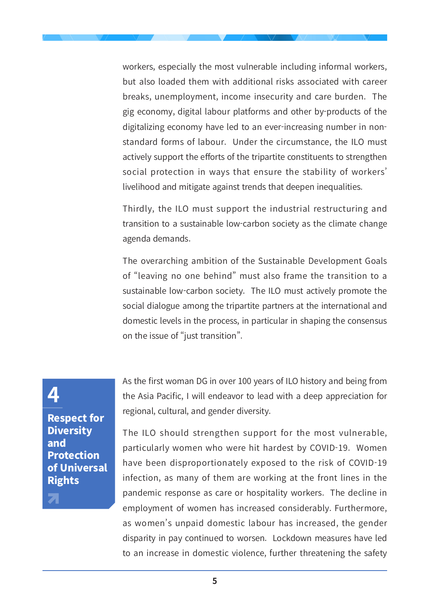workers, especially the most vulnerable including informal workers, but also loaded them with additional risks associated with career breaks, unemployment, income insecurity and care burden. The gig economy, digital labour platforms and other by-products of the digitalizing economy have led to an ever-increasing number in nonstandard forms of labour. Under the circumstance, the ILO must actively support the efforts of the tripartite constituents to strengthen social protection in ways that ensure the stability of workers' livelihood and mitigate against trends that deepen inequalities.

Thirdly, the ILO must support the industrial restructuring and transition to a sustainable low-carbon society as the climate change agenda demands.

The overarching ambition of the Sustainable Development Goals of "leaving no one behind" must also frame the transition to a sustainable low-carbon society. The ILO must actively promote the social dialogue among the tripartite partners at the international and domestic levels in the process, in particular in shaping the consensus on the issue of "just transition".

As the first woman DG in over 100 years of ILO history and being from the Asia Pacific, I will endeavor to lead with a deep appreciation for regional, cultural, and gender diversity.

The ILO should strengthen support for the most vulnerable, particularly women who were hit hardest by COVID-19. Women have been disproportionately exposed to the risk of COVID-19 infection, as many of them are working at the front lines in the pandemic response as care or hospitality workers. The decline in employment of women has increased considerably. Furthermore, as women's unpaid domestic labour has increased, the gender disparity in pay continued to worsen. Lockdown measures have led to an increase in domestic violence, further threatening the safety

## **4**

Respect for **Diversity** and Protection of Universal Rights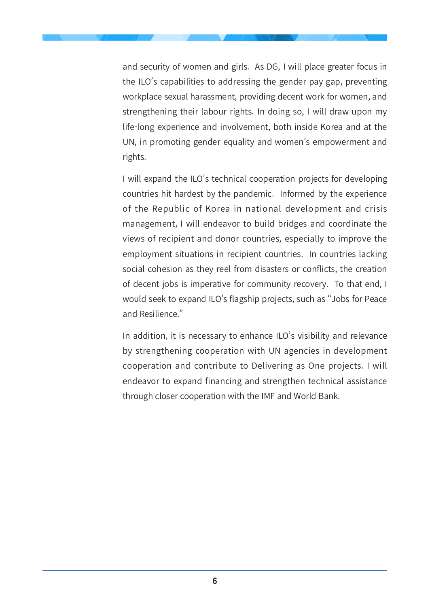and security of women and girls. As DG, I will place greater focus in the ILO's capabilities to addressing the gender pay gap, preventing workplace sexual harassment, providing decent work for women, and strengthening their labour rights. In doing so, I will draw upon my life-long experience and involvement, both inside Korea and at the UN, in promoting gender equality and women's empowerment and rights.

I will expand the ILO's technical cooperation projects for developing countries hit hardest by the pandemic. Informed by the experience of the Republic of Korea in national development and crisis management, I will endeavor to build bridges and coordinate the views of recipient and donor countries, especially to improve the employment situations in recipient countries. In countries lacking social cohesion as they reel from disasters or conflicts, the creation of decent jobs is imperative for community recovery. To that end, I would seek to expand ILO's flagship projects, such as "Jobs for Peace and Resilience."

In addition, it is necessary to enhance ILO's visibility and relevance by strengthening cooperation with UN agencies in development cooperation and contribute to Delivering as One projects. I will endeavor to expand financing and strengthen technical assistance through closer cooperation with the IMF and World Bank.